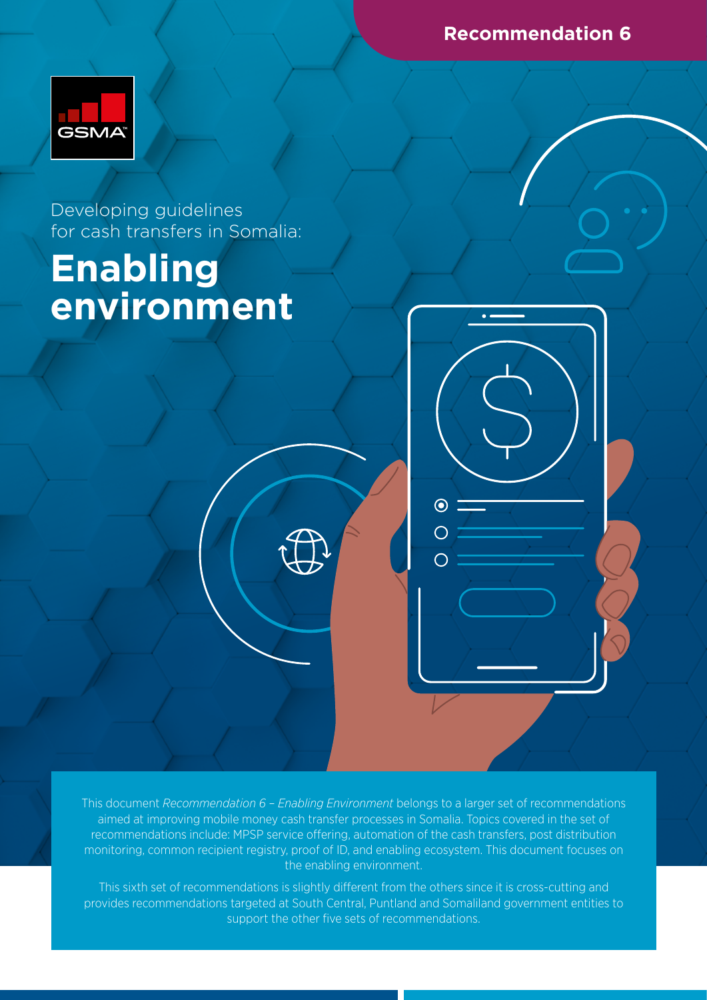**Recommendation 6**



Developing guidelines for cash transfers in Somalia:

# **Enabling environment**

This document *Recommendation 6 – Enabling Environment* belongs to a larger set of recommendations aimed at improving mobile money cash transfer processes in Somalia. Topics covered in the set of recommendations include: MPSP service offering, automation of the cash transfers, post distribution monitoring, common recipient registry, proof of ID, and enabling ecosystem. This document focuses on the enabling environment.

 $\odot$ 

This sixth set of recommendations is slightly different from the others since it is cross-cutting and provides recommendations targeted at South Central, Puntland and Somaliland government entities to support the other five sets of recommendations.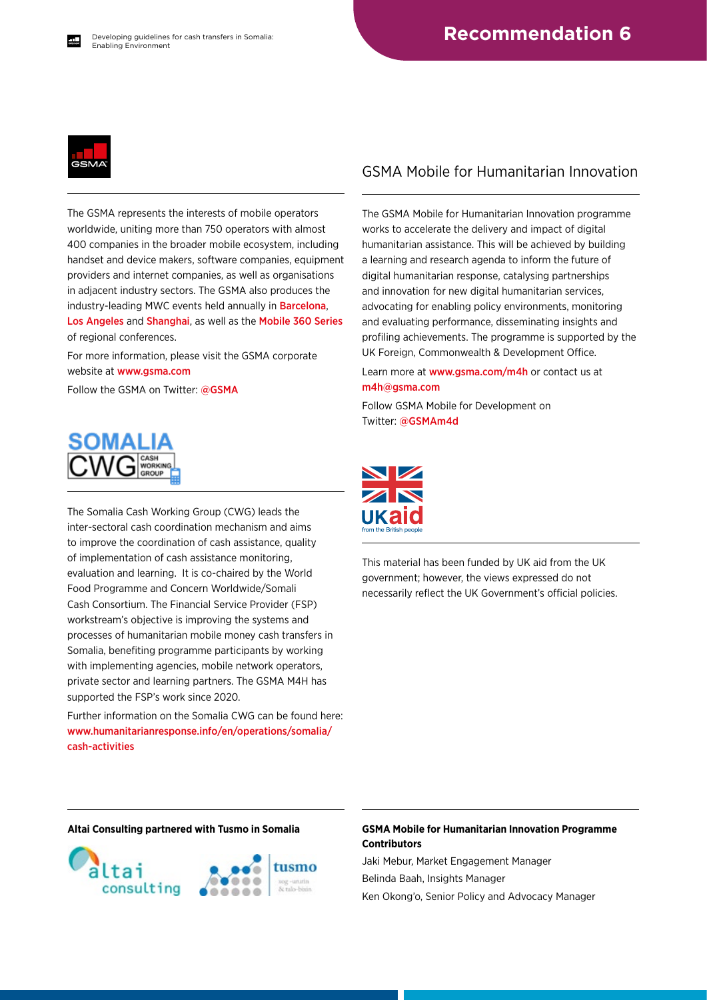

The GSMA represents the interests of mobile operators worldwide, uniting more than 750 operators with almost 400 companies in the broader mobile ecosystem, including handset and device makers, software companies, equipment providers and internet companies, as well as organisations in adjacent industry sectors. The GSMA also produces the industry-leading MWC events held annually in [Barcelona](https://www.mwcbarcelona.com), [Los Angeles](https://www.mwclosangeles.com/home1/) and [Shanghai](https://www.mwcshanghai.com), as well as the [Mobile 360 Series](https://www.mobile360series.com) of regional conferences.

For more information, please visit the GSMA corporate website at [www.gsma.com](https://www.gsma.com)

Follow the GSMA on Twitter: [@GSMA](https://twitter.com/gsma)



The Somalia Cash Working Group (CWG) leads the inter-sectoral cash coordination mechanism and aims to improve the coordination of cash assistance, quality of implementation of cash assistance monitoring, evaluation and learning. It is co-chaired by the World Food Programme and Concern Worldwide/Somali Cash Consortium. The Financial Service Provider (FSP) workstream's objective is improving the systems and processes of humanitarian mobile money cash transfers in Somalia, benefiting programme participants by working with implementing agencies, mobile network operators, private sector and learning partners. The GSMA M4H has supported the FSP's work since 2020.

Further information on the Somalia CWG can be found here: [www.humanitarianresponse.info/en/operations/somalia/](https://www.humanitarianresponse.info/en/operations/somalia/cash-activities) [cash-activities](https://www.humanitarianresponse.info/en/operations/somalia/cash-activities)

### GSMA Mobile for Humanitarian Innovation

The GSMA Mobile for Humanitarian Innovation programme works to accelerate the delivery and impact of digital humanitarian assistance. This will be achieved by building a learning and research agenda to inform the future of digital humanitarian response, catalysing partnerships and innovation for new digital humanitarian services, advocating for enabling policy environments, monitoring and evaluating performance, disseminating insights and profiling achievements. The programme is supported by the UK Foreign, Commonwealth & Development Office.

Learn more at [www.gsma.com/m4h](https://www.gsma.com/mobilefordevelopment/mobile-for-humanitarian-innovation/) or contact us at [m4h@gsma.com](mailto:m4h%40gsma.com?subject=) 

Follow GSMA Mobile for Development on Twitter: [@GSMAm4d](https://twitter.com/GSMAm4d)



This material has been funded by UK aid from the UK government; however, the views expressed do not necessarily reflect the UK Government's official policies.



#### **Altai Consulting partnered with Tusmo in Somalia GSMA Mobile for Humanitarian Innovation Programme Contributors**

Jaki Mebur, Market Engagement Manager Belinda Baah, Insights Manager Ken Okong'o, Senior Policy and Advocacy Manager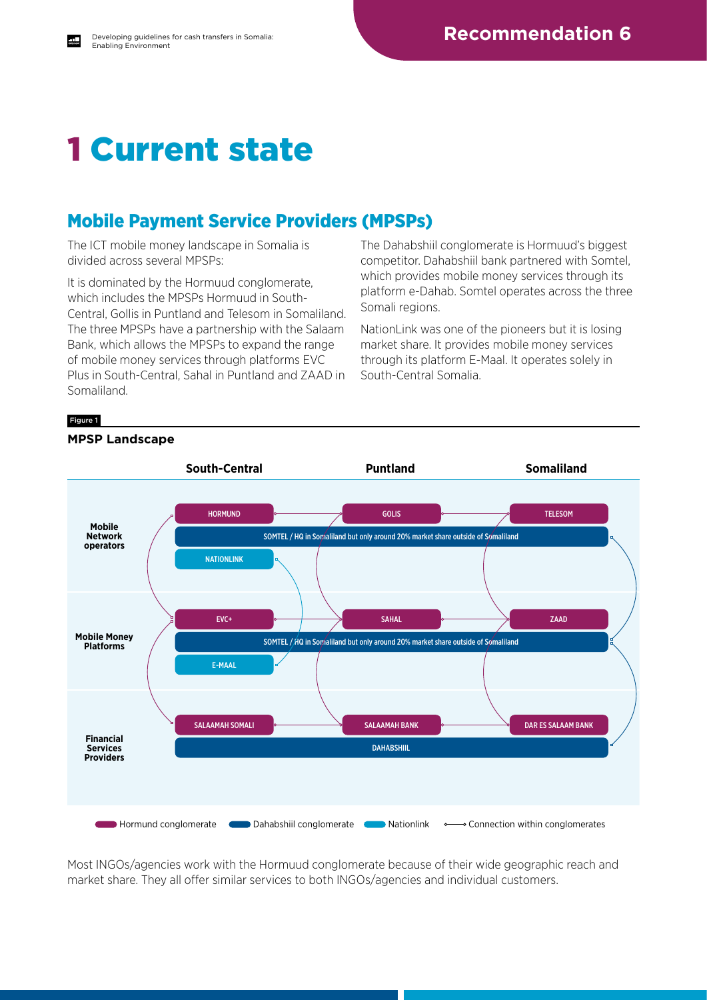## 1 Current state

## Mobile Payment Service Providers (MPSPs)

The ICT mobile money landscape in Somalia is divided across several MPSPs:

It is dominated by the Hormuud conglomerate, which includes the MPSPs Hormuud in South-Central, Gollis in Puntland and Telesom in Somaliland. The three MPSPs have a partnership with the Salaam Bank, which allows the MPSPs to expand the range of mobile money services through platforms EVC Plus in South-Central, Sahal in Puntland and ZAAD in Somaliland.

The Dahabshiil conglomerate is Hormuud's biggest competitor. Dahabshiil bank partnered with Somtel, which provides mobile money services through its platform e-Dahab. Somtel operates across the three Somali regions.

NationLink was one of the pioneers but it is losing market share. It provides mobile money services through its platform E-Maal. It operates solely in South-Central Somalia.

#### Figure 1



**MPSP Landscape**

Most INGOs/agencies work with the Hormuud conglomerate because of their wide geographic reach and market share. They all offer similar services to both INGOs/agencies and individual customers.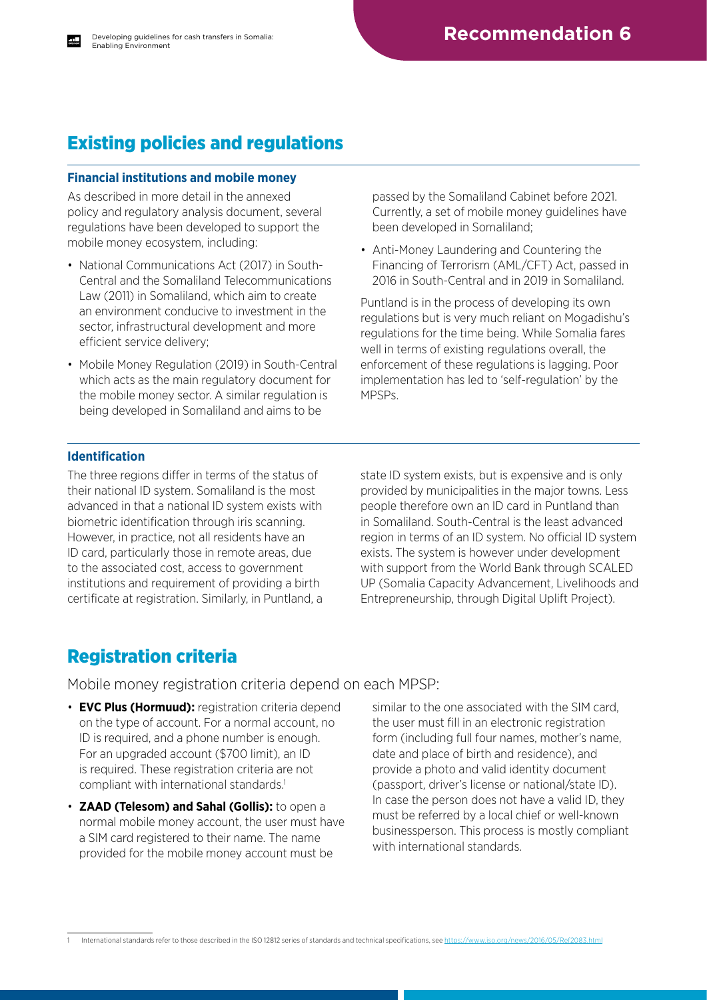## Existing policies and regulations

#### **Financial institutions and mobile money**

As described in more detail in the annexed policy and regulatory analysis document, several regulations have been developed to support the mobile money ecosystem, including:

- National Communications Act (2017) in South-Central and the Somaliland Telecommunications Law (2011) in Somaliland, which aim to create an environment conducive to investment in the sector, infrastructural development and more efficient service delivery;
- Mobile Money Regulation (2019) in South-Central which acts as the main regulatory document for the mobile money sector. A similar regulation is being developed in Somaliland and aims to be

passed by the Somaliland Cabinet before 2021. Currently, a set of mobile money guidelines have been developed in Somaliland;

• Anti-Money Laundering and Countering the Financing of Terrorism (AML/CFT) Act, passed in 2016 in South-Central and in 2019 in Somaliland.

Puntland is in the process of developing its own regulations but is very much reliant on Mogadishu's regulations for the time being. While Somalia fares well in terms of existing regulations overall, the enforcement of these regulations is lagging. Poor implementation has led to 'self-regulation' by the MPSPs.

### **Identification**

The three regions differ in terms of the status of their national ID system. Somaliland is the most advanced in that a national ID system exists with biometric identification through iris scanning. However, in practice, not all residents have an ID card, particularly those in remote areas, due to the associated cost, access to government institutions and requirement of providing a birth certificate at registration. Similarly, in Puntland, a state ID system exists, but is expensive and is only provided by municipalities in the major towns. Less people therefore own an ID card in Puntland than in Somaliland. South-Central is the least advanced region in terms of an ID system. No official ID system exists. The system is however under development with support from the World Bank through SCALED UP (Somalia Capacity Advancement, Livelihoods and Entrepreneurship, through Digital Uplift Project).

### Registration criteria

Mobile money registration criteria depend on each MPSP:

- **EVC Plus (Hormuud):** registration criteria depend on the type of account. For a normal account, no ID is required, and a phone number is enough. For an upgraded account (\$700 limit), an ID is required. These registration criteria are not compliant with international standards.<sup>1</sup>
- **ZAAD (Telesom) and Sahal (Gollis):** to open a normal mobile money account, the user must have a SIM card registered to their name. The name provided for the mobile money account must be

similar to the one associated with the SIM card, the user must fill in an electronic registration form (including full four names, mother's name, date and place of birth and residence), and provide a photo and valid identity document (passport, driver's license or national/state ID). In case the person does not have a valid ID, they must be referred by a local chief or well-known businessperson. This process is mostly compliant with international standards.

International standards refer to those described in the ISO 12812 series of standards and technical specifications, see https://www.iso.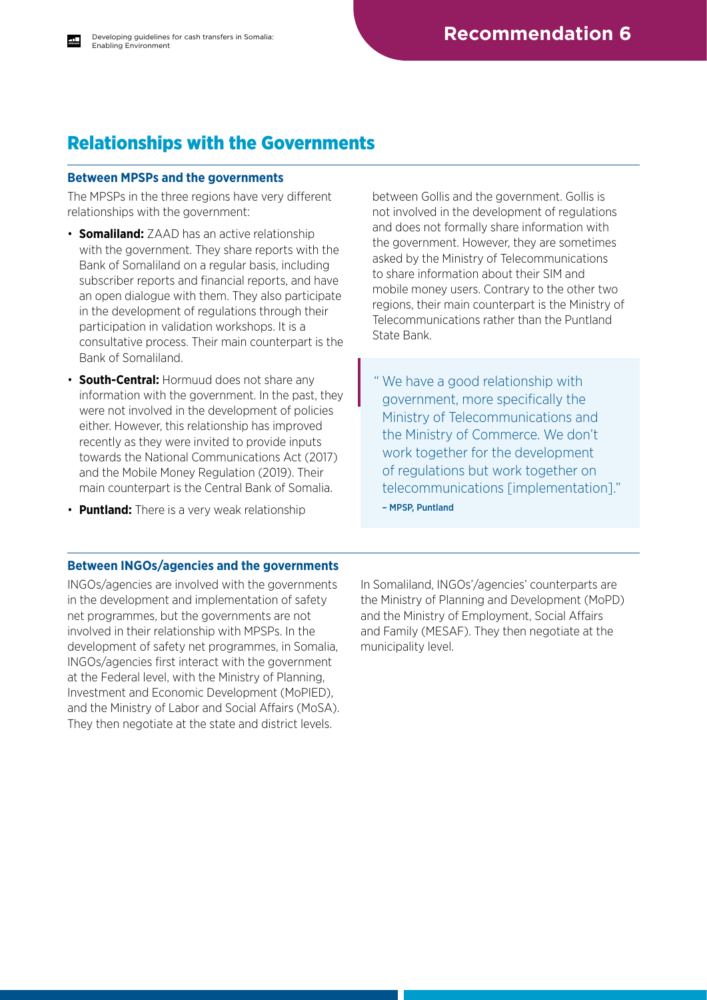## Relationships with the Governments

#### **Between MPSPs and the governments**

The MPSPs in the three regions have very different relationships with the government:

- **Somaliland:** ZAAD has an active relationship with the government. They share reports with the Bank of Somaliland on a regular basis, including subscriber reports and financial reports, and have an open dialogue with them. They also participate in the development of regulations through their participation in validation workshops. It is a consultative process. Their main counterpart is the Bank of Somaliland.
- **South-Central:** Hormuud does not share any information with the government. In the past, they were not involved in the development of policies either. However, this relationship has improved recently as they were invited to provide inputs towards the National Communications Act (2017) and the Mobile Money Regulation (2019). Their main counterpart is the Central Bank of Somalia.
- **Puntland:** There is a very weak relationship

between Gollis and the government. Gollis is not involved in the development of regulations and does not formally share information with the government. However, they are sometimes asked by the Ministry of Telecommunications to share information about their SIM and mobile money users. Contrary to the other two regions, their main counterpart is the Ministry of Telecommunications rather than the Puntland State Bank.

" We have a good relationship with government, more specifically the Ministry of Telecommunications and the Ministry of Commerce. We don't work together for the development of regulations but work together on telecommunications [implementation]." – MPSP, Puntland

#### **Between INGOs/agencies and the governments**

INGOs/agencies are involved with the governments in the development and implementation of safety net programmes, but the governments are not involved in their relationship with MPSPs. In the development of safety net programmes, in Somalia, INGOs/agencies first interact with the government at the Federal level, with the Ministry of Planning, Investment and Economic Development (MoPIED), and the Ministry of Labor and Social Affairs (MoSA). They then negotiate at the state and district levels.

In Somaliland, INGOs'/agencies' counterparts are the Ministry of Planning and Development (MoPD) and the Ministry of Employment, Social Affairs and Family (MESAF). They then negotiate at the municipality level.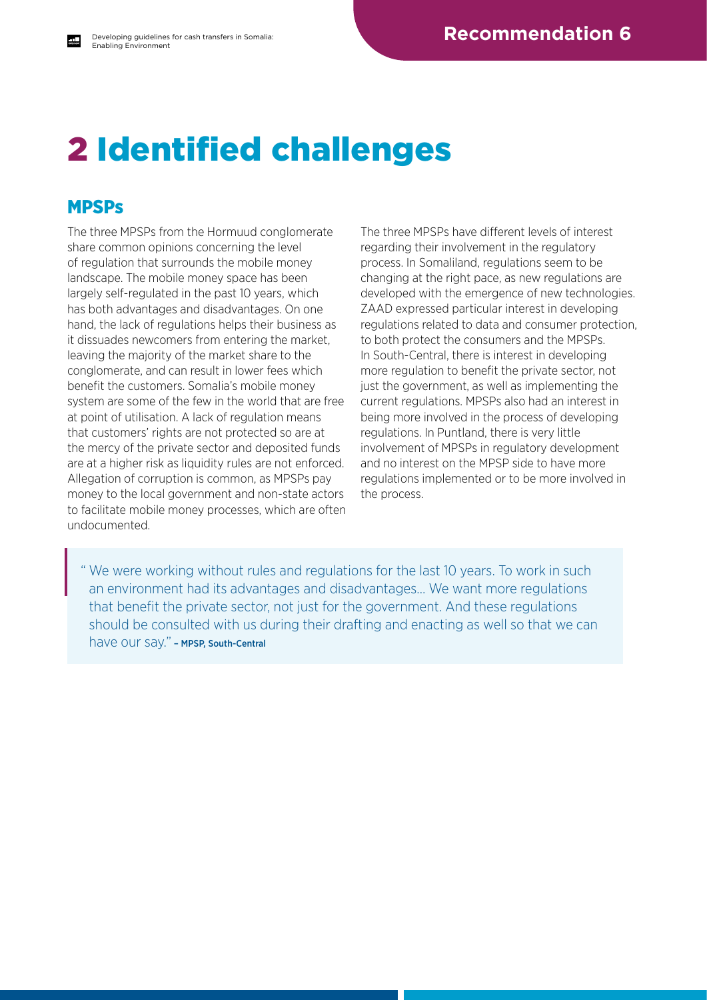## 2 Identified challenges

### **MPSPs**

The three MPSPs from the Hormuud conglomerate share common opinions concerning the level of regulation that surrounds the mobile money landscape. The mobile money space has been largely self-regulated in the past 10 years, which has both advantages and disadvantages. On one hand, the lack of regulations helps their business as it dissuades newcomers from entering the market, leaving the majority of the market share to the conglomerate, and can result in lower fees which benefit the customers. Somalia's mobile money system are some of the few in the world that are free at point of utilisation. A lack of regulation means that customers' rights are not protected so are at the mercy of the private sector and deposited funds are at a higher risk as liquidity rules are not enforced. Allegation of corruption is common, as MPSPs pay money to the local government and non-state actors to facilitate mobile money processes, which are often undocumented.

The three MPSPs have different levels of interest regarding their involvement in the regulatory process. In Somaliland, regulations seem to be changing at the right pace, as new regulations are developed with the emergence of new technologies. ZAAD expressed particular interest in developing regulations related to data and consumer protection, to both protect the consumers and the MPSPs. In South-Central, there is interest in developing more regulation to benefit the private sector, not just the government, as well as implementing the current regulations. MPSPs also had an interest in being more involved in the process of developing regulations. In Puntland, there is very little involvement of MPSPs in regulatory development and no interest on the MPSP side to have more regulations implemented or to be more involved in the process.

" We were working without rules and regulations for the last 10 years. To work in such an environment had its advantages and disadvantages… We want more regulations that benefit the private sector, not just for the government. And these regulations should be consulted with us during their drafting and enacting as well so that we can have our say." – MPSP, South-Central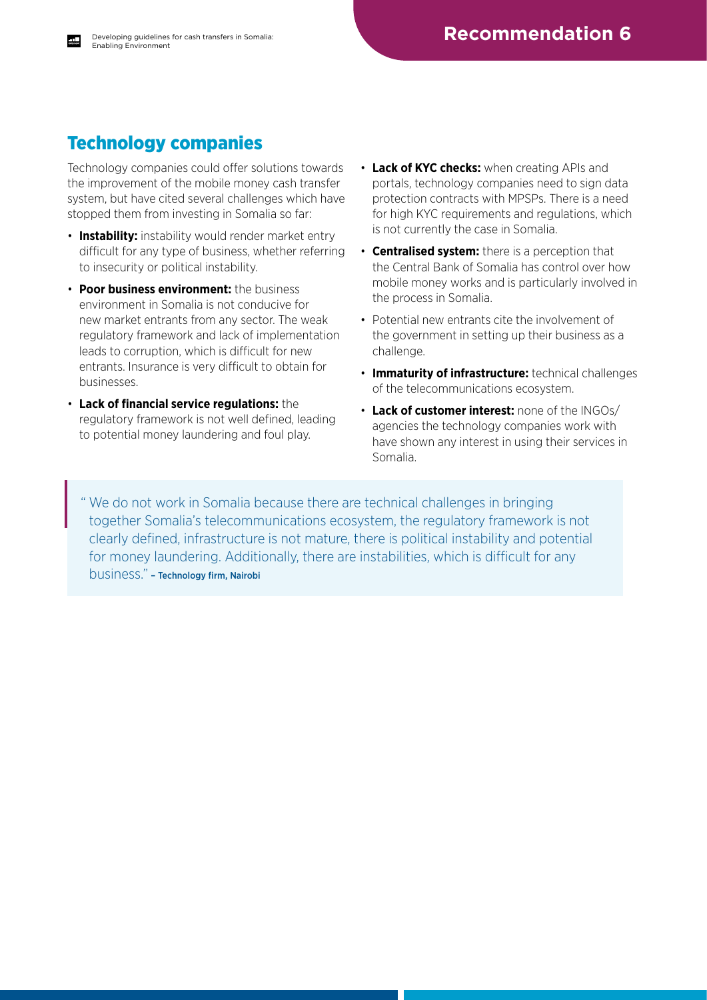## Technology companies

Technology companies could offer solutions towards the improvement of the mobile money cash transfer system, but have cited several challenges which have stopped them from investing in Somalia so far:

- **Instability:** instability would render market entry difficult for any type of business, whether referring to insecurity or political instability.
- **Poor business environment:** the business environment in Somalia is not conducive for new market entrants from any sector. The weak regulatory framework and lack of implementation leads to corruption, which is difficult for new entrants. Insurance is very difficult to obtain for businesses.
- **Lack of financial service regulations:** the regulatory framework is not well defined, leading to potential money laundering and foul play.
- **Lack of KYC checks:** when creating APIs and portals, technology companies need to sign data protection contracts with MPSPs. There is a need for high KYC requirements and regulations, which is not currently the case in Somalia.
- **Centralised system:** there is a perception that the Central Bank of Somalia has control over how mobile money works and is particularly involved in the process in Somalia.
- Potential new entrants cite the involvement of the government in setting up their business as a challenge.
- **Immaturity of infrastructure:** technical challenges of the telecommunications ecosystem.
- **Lack of customer interest:** none of the INGOs/ agencies the technology companies work with have shown any interest in using their services in Somalia.

" We do not work in Somalia because there are technical challenges in bringing together Somalia's telecommunications ecosystem, the regulatory framework is not clearly defined, infrastructure is not mature, there is political instability and potential for money laundering. Additionally, there are instabilities, which is difficult for any business." – Technology firm, Nairobi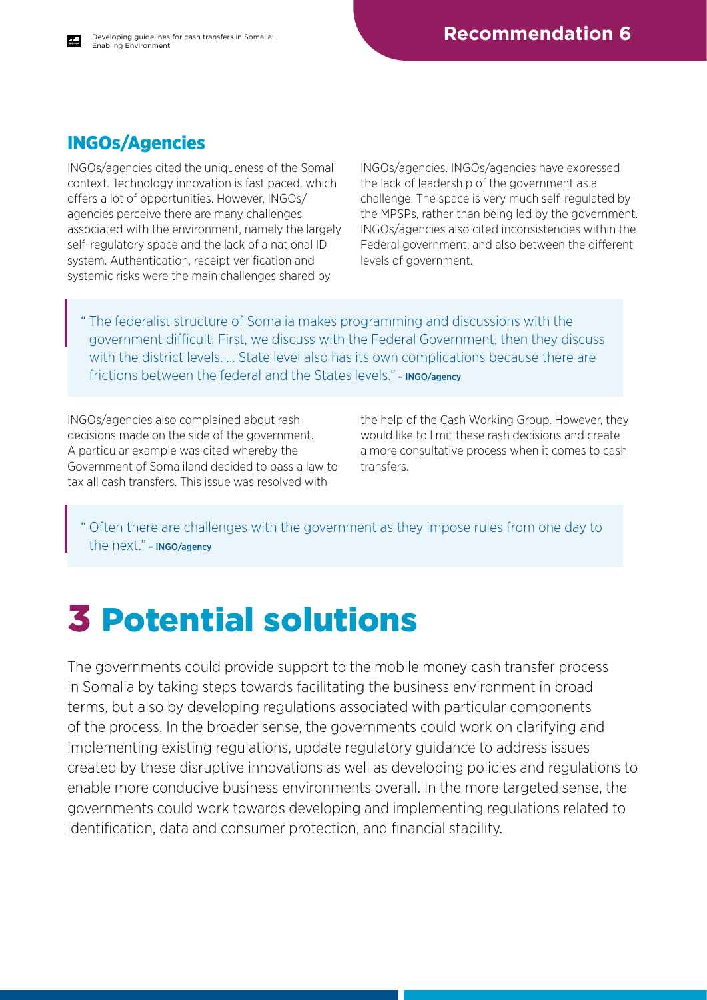## INGOs/Agencies

INGOs/agencies cited the uniqueness of the Somali context. Technology innovation is fast paced, which offers a lot of opportunities. However, INGOs/ agencies perceive there are many challenges associated with the environment, namely the largely self-regulatory space and the lack of a national ID system. Authentication, receipt verification and systemic risks were the main challenges shared by

INGOs/agencies. INGOs/agencies have expressed the lack of leadership of the government as a challenge. The space is very much self-regulated by the MPSPs, rather than being led by the government. INGOs/agencies also cited inconsistencies within the Federal government, and also between the different levels of government.

" The federalist structure of Somalia makes programming and discussions with the government difficult. First, we discuss with the Federal Government, then they discuss with the district levels. … State level also has its own complications because there are frictions between the federal and the States levels." - INGO/agency

INGOs/agencies also complained about rash decisions made on the side of the government. A particular example was cited whereby the Government of Somaliland decided to pass a law to tax all cash transfers. This issue was resolved with

the help of the Cash Working Group. However, they would like to limit these rash decisions and create a more consultative process when it comes to cash transfers.

" Often there are challenges with the government as they impose rules from one day to the next." – INGO/agency

## 3 Potential solutions

The governments could provide support to the mobile money cash transfer process in Somalia by taking steps towards facilitating the business environment in broad terms, but also by developing regulations associated with particular components of the process. In the broader sense, the governments could work on clarifying and implementing existing regulations, update regulatory guidance to address issues created by these disruptive innovations as well as developing policies and regulations to enable more conducive business environments overall. In the more targeted sense, the governments could work towards developing and implementing regulations related to identification, data and consumer protection, and financial stability.